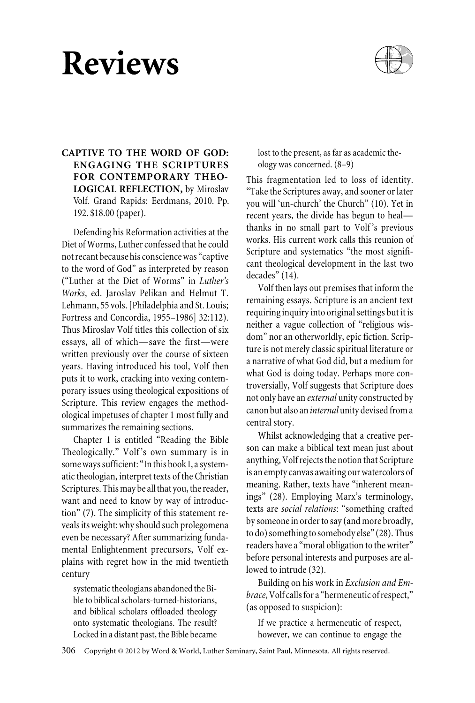# **Reviews**



# **CAPTIVE TO THE WORD OF GOD: ENGAGING THE SCRIPTURES FOR CONTEMPORARY THEO-LOGICAL REFLECTION,** by Miroslav Volf*.* Grand Rapids: Eerdmans, 2010. Pp. 192. \$18.00 (paper).

Defending his Reformation activities at the Diet of Worms, Luther confessed that he could not recant because his conscience was "captive to the word of God" as interpreted by reason ("Luther at the Diet of Worms" in *Luther's Works*, ed. Jaroslav Pelikan and Helmut T. Lehmann, 55 vols. [Philadelphia and St. Louis; Fortress and Concordia, 1955–1986] 32:112). Thus Miroslav Volf titles this collection of six essays, all of which—save the first—were written previously over the course of sixteen years. Having introduced his tool, Volf then puts it to work, cracking into vexing contemporary issues using theological expositions of Scripture. This review engages the methodological impetuses of chapter 1 most fully and summarizes the remaining sections.

Chapter 1 is entitled "Reading the Bible Theologically." Volf's own summary is in some ways sufficient: "In this book I, a systematic theologian, interpret texts of the Christian Scriptures. This may be all that you, the reader, want and need to know by way of introduction" (7). The simplicity of this statement reveals its weight: why should such prolegomena even be necessary? After summarizing fundamental Enlightenment precursors, Volf explains with regret how in the mid twentieth century

systematic theologians abandoned the Bible to biblical scholars-turned-historians, and biblical scholars offloaded theology onto systematic theologians. The result? Locked in a distant past, the Bible became

lost to the present, as far as academic theology was concerned. (8–9)

This fragmentation led to loss of identity. "Take the Scriptures away, and sooner or later you will 'un-church' the Church" (10). Yet in recent years, the divide has begun to heal thanks in no small part to Volf 's previous works. His current work calls this reunion of Scripture and systematics "the most significant theological development in the last two decades" (14).

Volf then lays out premises that inform the remaining essays. Scripture is an ancient text requiring inquiry into original settings but it is neither a vague collection of "religious wisdom" nor an otherworldly, epic fiction. Scripture is not merely classic spiritual literature or a narrative of what God did, but a medium for what God is doing today. Perhaps more controversially, Volf suggests that Scripture does not only have an *external* unity constructed by canon but also an *internal* unity devised from a central story.

Whilst acknowledging that a creative person can make a biblical text mean just about anything, Volf rejects the notion that Scripture is an empty canvas awaiting our watercolors of meaning. Rather, texts have "inherent meanings" (28). Employing Marx's terminology, texts are *social relations*: "something crafted by someone in order to say (and more broadly, to do) something to somebody else" (28). Thus readers have a "moral obligation to the writer" before personal interests and purposes are allowed to intrude (32).

Building on his work in *Exclusion and Embrace*, Volf calls for a "hermeneutic of respect," (as opposed to suspicion):

If we practice a hermeneutic of respect, however, we can continue to engage the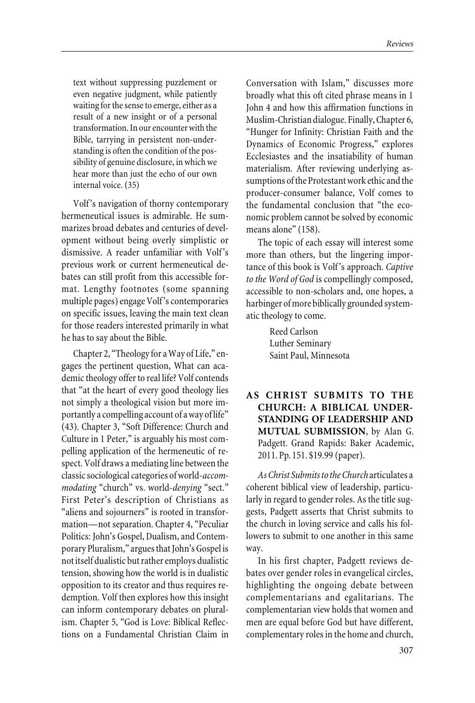text without suppressing puzzlement or even negative judgment, while patiently waiting for the sense to emerge, either as a result of a new insight or of a personal transformation. In our encounter with the Bible, tarrying in persistent non-understanding is often the condition of the possibility of genuine disclosure, in which we hear more than just the echo of our own internal voice. (35)

Volf 's navigation of thorny contemporary hermeneutical issues is admirable. He summarizes broad debates and centuries of development without being overly simplistic or dismissive. A reader unfamiliar with Volf 's previous work or current hermeneutical debates can still profit from this accessible format. Lengthy footnotes (some spanning multiple pages) engage Volf 's contemporaries on specific issues, leaving the main text clean for those readers interested primarily in what he has to say about the Bible.

Chapter 2, "Theology for a Way of Life," engages the pertinent question, What can academic theology offer to real life? Volf contends that "at the heart of every good theology lies not simply a theological vision but more importantly a compelling account of a way of life" (43). Chapter 3, "Soft Difference: Church and Culture in 1 Peter," is arguably his most compelling application of the hermeneutic of respect. Volf draws a mediating line between the classic sociological categories of world-*accommodating* "church" vs. world-*denying* "sect." First Peter's description of Christians as "aliens and sojourners" is rooted in transformation—not separation. Chapter 4, "Peculiar Politics: John's Gospel, Dualism, and Contemporary Pluralism," argues that John's Gospel is not itself dualistic but rather employs dualistic tension, showing how the world is in dualistic opposition to its creator and thus requires redemption. Volf then explores how this insight can inform contemporary debates on pluralism. Chapter 5, "God is Love: Biblical Reflections on a Fundamental Christian Claim in Conversation with Islam," discusses more broadly what this oft cited phrase means in 1 John 4 and how this affirmation functions in Muslim-Christian dialogue. Finally, Chapter 6, "Hunger for Infinity: Christian Faith and the Dynamics of Economic Progress," explores Ecclesiastes and the insatiability of human materialism. After reviewing underlying assumptions of the Protestant work ethic and the producer-consumer balance, Volf comes to the fundamental conclusion that "the economic problem cannot be solved by economic means alone" (158).

The topic of each essay will interest some more than others, but the lingering importance of this book is Volf 's approach*. Captive to the Word of God* is compellingly composed, accessible to non-scholars and, one hopes, a harbinger of more biblically grounded systematic theology to come.

> Reed Carlson Luther Seminary Saint Paul, Minnesota

**AS CHRIST SUBMITS TO THE CHURCH: A BIBLICAL UNDER-STANDING OF LEADERSHIP AND MUTUAL SUBMISSION**, by Alan G. Padgett. Grand Rapids: Baker Academic, 2011. Pp. 151. \$19.99 (paper).

*As Christ Submits to the Church* articulates a coherent biblical view of leadership, particularly in regard to gender roles. As the title suggests, Padgett asserts that Christ submits to the church in loving service and calls his followers to submit to one another in this same way.

In his first chapter, Padgett reviews debates over gender roles in evangelical circles, highlighting the ongoing debate between complementarians and egalitarians*.* The complementarian view holds that women and men are equal before God but have different, complementary roles in the home and church,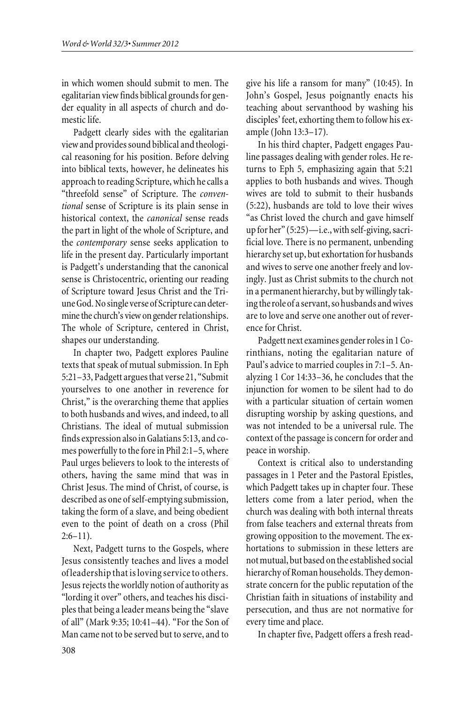in which women should submit to men. The egalitarian view finds biblical grounds for gender equality in all aspects of church and domestic life.

Padgett clearly sides with the egalitarian view and provides sound biblical and theological reasoning for his position. Before delving into biblical texts, however, he delineates his approach to reading Scripture, which he calls a "threefold sense" of Scripture. The *conventional* sense of Scripture is its plain sense in historical context, the *canonical* sense reads the part in light of the whole of Scripture, and the *contemporary* sense seeks application to life in the present day. Particularly important is Padgett's understanding that the canonical sense is Christocentric, orienting our reading of Scripture toward Jesus Christ and the Triune God. No single verse of Scripture can determine the church's view on gender relationships. The whole of Scripture, centered in Christ, shapes our understanding.

In chapter two, Padgett explores Pauline texts that speak of mutual submission. In Eph 5:21–33, Padgett argues that verse 21, "Submit yourselves to one another in reverence for Christ," is the overarching theme that applies to both husbands and wives, and indeed, to all Christians. The ideal of mutual submission finds expression also in Galatians 5:13, and comes powerfully to the fore in Phil 2:1–5, where Paul urges believers to look to the interests of others, having the same mind that was in Christ Jesus. The mind of Christ, of course, is described as one of self-emptying submission, taking the form of a slave, and being obedient even to the point of death on a cross (Phil  $2:6-11$ ).

Next, Padgett turns to the Gospels, where Jesus consistently teaches and lives a model of leadership that is loving service to others. Jesus rejects the worldly notion of authority as "lording it over" others, and teaches his disciples that being a leader means being the "slave of all" (Mark 9:35; 10:41–44). "For the Son of Man came not to be served but to serve, and to

give his life a ransom for many" (10:45). In John's Gospel, Jesus poignantly enacts his teaching about servanthood by washing his disciples' feet, exhorting them to follow his example (John 13:3–17).

In his third chapter, Padgett engages Pauline passages dealing with gender roles. He returns to Eph 5, emphasizing again that 5:21 applies to both husbands and wives. Though wives are told to submit to their husbands (5:22), husbands are told to love their wives "as Christ loved the church and gave himself up for her" (5:25)—i.e., with self-giving, sacrificial love. There is no permanent, unbending hierarchy set up, but exhortation for husbands and wives to serve one another freely and lovingly. Just as Christ submits to the church not in a permanent hierarchy, but by willingly taking the role of a servant, so husbands and wives are to love and serve one another out of reverence for Christ.

Padgett next examines gender roles in 1 Corinthians, noting the egalitarian nature of Paul's advice to married couples in 7:1–5. Analyzing 1 Cor 14:33–36, he concludes that the injunction for women to be silent had to do with a particular situation of certain women disrupting worship by asking questions, and was not intended to be a universal rule. The context of the passage is concern for order and peace in worship.

Context is critical also to understanding passages in 1 Peter and the Pastoral Epistles, which Padgett takes up in chapter four. These letters come from a later period, when the church was dealing with both internal threats from false teachers and external threats from growing opposition to the movement. The exhortations to submission in these letters are not mutual, but based on the established social hierarchy of Roman households. They demonstrate concern for the public reputation of the Christian faith in situations of instability and persecution, and thus are not normative for every time and place.

In chapter five, Padgett offers a fresh read-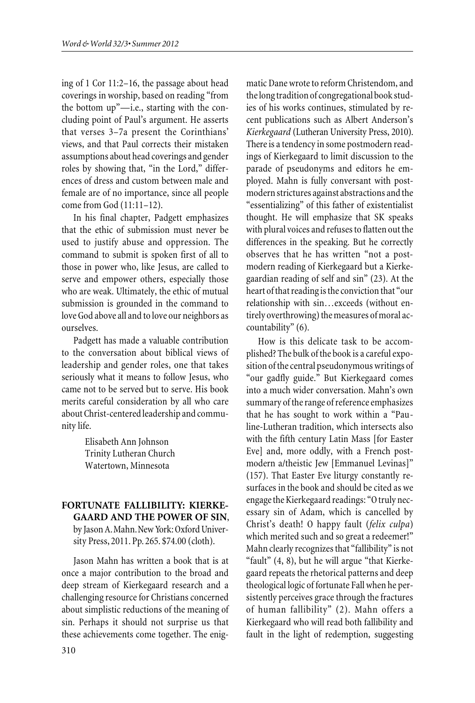ing of 1 Cor 11:2–16, the passage about head coverings in worship, based on reading "from the bottom up"—i.e., starting with the concluding point of Paul's argument. He asserts that verses 3–7a present the Corinthians' views, and that Paul corrects their mistaken assumptions about head coverings and gender roles by showing that, "in the Lord," differences of dress and custom between male and female are of no importance, since all people come from God (11:11–12).

In his final chapter, Padgett emphasizes that the ethic of submission must never be used to justify abuse and oppression. The command to submit is spoken first of all to those in power who, like Jesus, are called to serve and empower others, especially those who are weak. Ultimately, the ethic of mutual submission is grounded in the command to love God above all and to love our neighbors as ourselves.

Padgett has made a valuable contribution to the conversation about biblical views of leadership and gender roles, one that takes seriously what it means to follow Jesus, who came not to be served but to serve. His book merits careful consideration by all who care about Christ-centered leadership and community life.

> Elisabeth Ann Johnson Trinity Lutheran Church Watertown, Minnesota

# **FORTUNATE FALLIBILITY: KIERKE-GAARD AND THE POWER OF SIN**, by Jason A.Mahn.New York: Oxford University Press, 2011. Pp. 265. \$74.00 (cloth).

Jason Mahn has written a book that is at once a major contribution to the broad and deep stream of Kierkegaard research and a challenging resource for Christians concerned about simplistic reductions of the meaning of sin. Perhaps it should not surprise us that these achievements come together. The enigmatic Dane wrote to reform Christendom, and the long tradition of congregational book studies of his works continues, stimulated by recent publications such as Albert Anderson's *Kierkegaard* (Lutheran University Press, 2010). There is a tendency in some postmodern readings of Kierkegaard to limit discussion to the parade of pseudonyms and editors he employed. Mahn is fully conversant with postmodern strictures against abstractions and the "essentializing" of this father of existentialist thought. He will emphasize that SK speaks with plural voices and refuses to flatten out the differences in the speaking. But he correctly observes that he has written "not a postmodern reading of Kierkegaard but a Kierkegaardian reading of self and sin" (23). At the heart of that reading is the conviction that "our relationship with sin…exceeds (without entirely overthrowing) the measures of moral accountability" (6).

How is this delicate task to be accomplished? The bulk of the book is a careful exposition of the central pseudonymous writings of "our gadfly guide." But Kierkegaard comes into a much wider conversation. Mahn's own summary of the range of reference emphasizes that he has sought to work within a "Pauline-Lutheran tradition, which intersects also with the fifth century Latin Mass [for Easter Eve] and, more oddly, with a French postmodern a/theistic Jew [Emmanuel Levinas]" (157). That Easter Eve liturgy constantly resurfaces in the book and should be cited as we engage the Kierkegaard readings: "O truly necessary sin of Adam, which is cancelled by Christ's death! O happy fault (*felix culpa*) which merited such and so great a redeemer!" Mahn clearly recognizes that "fallibility" is not "fault" (4, 8), but he will argue "that Kierkegaard repeats the rhetorical patterns and deep theological logic of fortunate Fall when he persistently perceives grace through the fractures of human fallibility" (2). Mahn offers a Kierkegaard who will read both fallibility and fault in the light of redemption, suggesting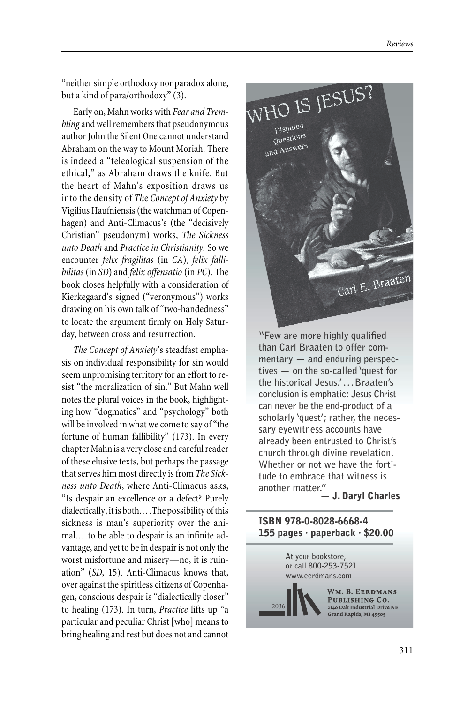"neither simple orthodoxy nor paradox alone, but a kind of para/orthodoxy" (3).

Early on, Mahn works with *Fear and Trembling* and well remembers that pseudonymous author John the Silent One cannot understand Abraham on the way to Mount Moriah. There is indeed a "teleological suspension of the ethical," as Abraham draws the knife. But the heart of Mahn's exposition draws us into the density of *Th*e *Concept of Anxiety* by Vigilius Haufniensis (the watchman of Copenhagen) and Anti-Climacus's (the "decisively Christian" pseudonym) works, *The Sickness unto Death* and *Practice in Christianity.* So we encounter *felix fragilitas* (in *CA*), *felix fallibilitas* (in *SD*) and *felix offensatio* (in *PC*). The book closes helpfully with a consideration of Kierkegaard's signed ("veronymous") works drawing on his own talk of "two-handedness" to locate the argument firmly on Holy Saturday, between cross and resurrection.

*The Concept of Anxiety*'s steadfast emphasis on individual responsibility for sin would seem unpromising territory for an effort to resist "the moralization of sin." But Mahn well notes the plural voices in the book, highlighting how "dogmatics" and "psychology" both will be involved in what we come to say of "the fortune of human fallibility" (173). In every chapter Mahn is a very close and careful reader of these elusive texts, but perhaps the passage that serves him most directly is from *The Sickness unto Death*, where Anti-Climacus asks, "Is despair an excellence or a defect? Purely dialectically, it is both.…The possibility of this sickness is man's superiority over the animal.…to be able to despair is an infinite advantage, and yet to be in despair is not only the worst misfortune and misery—no, it is ruination" (*SD*, 15). Anti-Climacus knows that, over against the spiritless citizens of Copenhagen, conscious despair is "dialectically closer" to healing (173). In turn, *Practice* lifts up "a particular and peculiar Christ [who] means to bring healing and rest but does not and cannot



**"Few are more highly qualified than Carl Braaten to offer commentary — and enduring perspectives — on the so-called 'quest for the historical Jesus.' . . . Braaten's conclusion is emphatic: Jesus Christ can never be the end-product of a scholarly 'quest'; rather, the necessary eyewitness accounts have already been entrusted to Christ's church through divine revelation. Whether or not we have the fortitude to embrace that witness is another matter."— J. Daryl Charles**

#### ISBN 978-0-8028-6668-4 155 pages  $\cdot$  paperback  $\cdot$  \$20.00 **155 pages · paperback · \$20.00**

**At your bookstore, or call 800-253-7521 www.eerdmans.com**

2036

WM. B. EERDMANS PUBLISHING CO. 2140 Oak Industrial Drive NE .<br>Grand Rapids, MI 49505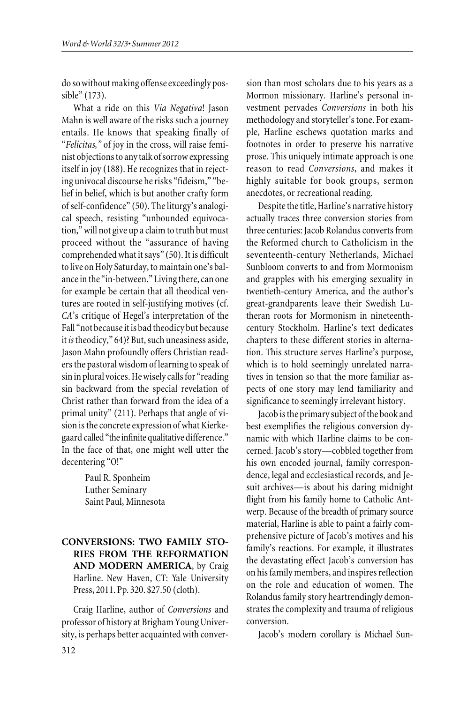do so without making offense exceedingly possible" (173).

What a ride on this *Via Negativa*! Jason Mahn is well aware of the risks such a journey entails. He knows that speaking finally of "*Felicitas,"* of joy in the cross, will raise feminist objections to any talk of sorrow expressing itself in joy (188). He recognizes that in rejecting univocal discourse he risks "fideism," "belief in belief, which is but another crafty form of self-confidence" (50). The liturgy's analogical speech, resisting "unbounded equivocation," will not give up a claim to truth but must proceed without the "assurance of having comprehended what it says" (50). It is difficult to live on Holy Saturday, to maintain one's balance in the "in-between." Living there, can one for example be certain that all theodical ventures are rooted in self-justifying motives (cf. *CA*'s critique of Hegel's interpretation of the Fall "not because it is bad theodicy but because it*is*theodicy," 64)? But, such uneasiness aside, Jason Mahn profoundly offers Christian readers the pastoral wisdom of learning to speak of sin in plural voices. He wisely calls for "reading sin backward from the special revelation of Christ rather than forward from the idea of a primal unity" (211). Perhaps that angle of vision is the concrete expression of what Kierkegaard called "the infinite qualitative difference." In the face of that, one might well utter the decentering "O!"

> Paul R. Sponheim Luther Seminary Saint Paul, Minnesota

# **CONVERSIONS: TWO FAMILY STO-RIES FROM THE REFORMATION AND MODERN AMERICA**, by Craig Harline. New Haven, CT: Yale University Press, 2011. Pp. 320. \$27.50 (cloth).

Craig Harline, author of *Conversions* and professor of history at Brigham Young University, is perhaps better acquainted with conver-

sion than most scholars due to his years as a Mormon missionary. Harline's personal investment pervades *Conversions* in both his methodology and storyteller's tone. For example, Harline eschews quotation marks and footnotes in order to preserve his narrative prose. This uniquely intimate approach is one reason to read *Conversions*, and makes it highly suitable for book groups, sermon anecdotes, or recreational reading.

Despite the title, Harline's narrative history actually traces three conversion stories from three centuries: Jacob Rolandus converts from the Reformed church to Catholicism in the seventeenth-century Netherlands, Michael Sunbloom converts to and from Mormonism and grapples with his emerging sexuality in twentieth-century America, and the author's great-grandparents leave their Swedish Lutheran roots for Mormonism in nineteenthcentury Stockholm. Harline's text dedicates chapters to these different stories in alternation. This structure serves Harline's purpose, which is to hold seemingly unrelated narratives in tension so that the more familiar aspects of one story may lend familiarity and significance to seemingly irrelevant history.

Jacob is the primary subject of the book and best exemplifies the religious conversion dynamic with which Harline claims to be concerned. Jacob's story—cobbled together from his own encoded journal, family correspondence, legal and ecclesiastical records, and Jesuit archives—is about his daring midnight flight from his family home to Catholic Antwerp. Because of the breadth of primary source material, Harline is able to paint a fairly comprehensive picture of Jacob's motives and his family's reactions. For example, it illustrates the devastating effect Jacob's conversion has on his family members, and inspires reflection on the role and education of women. The Rolandus family story heartrendingly demonstrates the complexity and trauma of religious conversion.

Jacob's modern corollary is Michael Sun-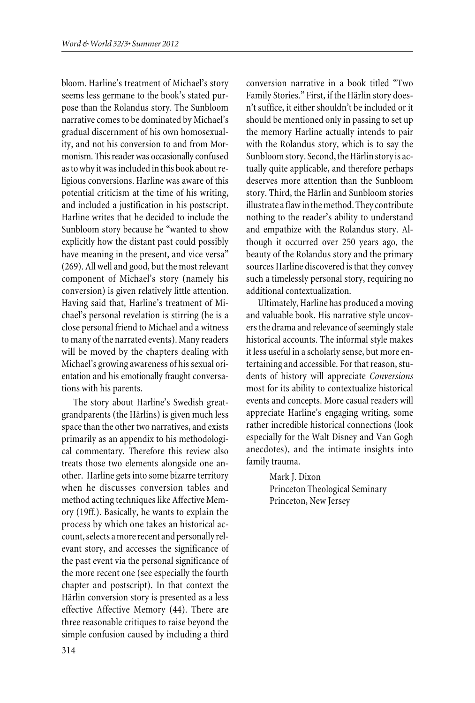bloom. Harline's treatment of Michael's story seems less germane to the book's stated purpose than the Rolandus story. The Sunbloom narrative comes to be dominated by Michael's gradual discernment of his own homosexuality, and not his conversion to and from Mormonism. This reader was occasionally confused as to why it was included in this book about religious conversions. Harline was aware of this potential criticism at the time of his writing, and included a justification in his postscript. Harline writes that he decided to include the Sunbloom story because he "wanted to show explicitly how the distant past could possibly have meaning in the present, and vice versa" (269). All well and good, but the most relevant component of Michael's story (namely his conversion) is given relatively little attention. Having said that, Harline's treatment of Michael's personal revelation is stirring (he is a close personal friend to Michael and a witness to many of the narrated events). Many readers will be moved by the chapters dealing with Michael's growing awareness of his sexual orientation and his emotionally fraught conversations with his parents.

The story about Harline's Swedish greatgrandparents (the Härlins) is given much less space than the other two narratives, and exists primarily as an appendix to his methodological commentary. Therefore this review also treats those two elements alongside one another. Harline gets into some bizarre territory when he discusses conversion tables and method acting techniques like Affective Memory (19ff.). Basically, he wants to explain the process by which one takes an historical account, selects a more recent and personally relevant story, and accesses the significance of the past event via the personal significance of the more recent one (see especially the fourth chapter and postscript). In that context the Härlin conversion story is presented as a less effective Affective Memory (44). There are three reasonable critiques to raise beyond the simple confusion caused by including a third

conversion narrative in a book titled "Two Family Stories." First, if the Härlin story doesn't suffice, it either shouldn't be included or it should be mentioned only in passing to set up the memory Harline actually intends to pair with the Rolandus story, which is to say the Sunbloom story. Second, the Härlin story is actually quite applicable, and therefore perhaps deserves more attention than the Sunbloom story. Third, the Härlin and Sunbloom stories illustrate a flaw in the method. They contribute nothing to the reader's ability to understand and empathize with the Rolandus story. Although it occurred over 250 years ago, the beauty of the Rolandus story and the primary sources Harline discovered is that they convey such a timelessly personal story, requiring no additional contextualization.

Ultimately, Harline has produced a moving and valuable book. His narrative style uncovers the drama and relevance of seemingly stale historical accounts. The informal style makes it less useful in a scholarly sense, but more entertaining and accessible. For that reason, students of history will appreciate *Conversions* most for its ability to contextualize historical events and concepts. More casual readers will appreciate Harline's engaging writing, some rather incredible historical connections (look especially for the Walt Disney and Van Gogh anecdotes), and the intimate insights into family trauma.

> Mark J. Dixon Princeton Theological Seminary Princeton, New Jersey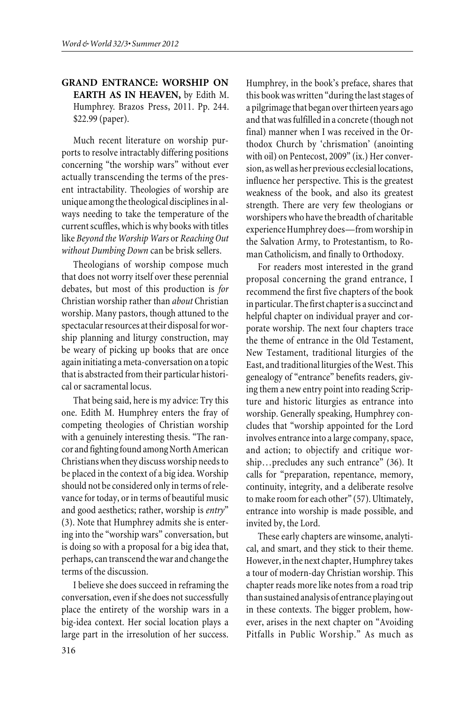## **GRAND ENTRANCE: WORSHIP ON EARTH AS IN HEAVEN,** by Edith M. Humphrey. Brazos Press, 2011. Pp. 244. \$22.99 (paper).

Much recent literature on worship purports to resolve intractably differing positions concerning "the worship wars" without ever actually transcending the terms of the present intractability. Theologies of worship are unique among the theological disciplines in always needing to take the temperature of the current scuffles, which is why books with titles like *Beyond the Worship Wars* or *Reaching Out without Dumbing Down* can be brisk sellers.

Theologians of worship compose much that does not worry itself over these perennial debates, but most of this production is *for* Christian worship rather than *about* Christian worship. Many pastors, though attuned to the spectacular resources at their disposal for worship planning and liturgy construction, may be weary of picking up books that are once again initiating a meta-conversation on a topic that is abstracted from their particular historical or sacramental locus.

That being said, here is my advice: Try this one. Edith M. Humphrey enters the fray of competing theologies of Christian worship with a genuinely interesting thesis. "The rancor and fighting found among North American Christians when they discuss worship needs to be placed in the context of a big idea. Worship should not be considered only in terms of relevance for today, or in terms of beautiful music and good aesthetics; rather, worship is *entry*" (3). Note that Humphrey admits she is entering into the "worship wars" conversation, but is doing so with a proposal for a big idea that, perhaps, can transcend the war and change the terms of the discussion.

I believe she does succeed in reframing the conversation, even if she does not successfully place the entirety of the worship wars in a big-idea context. Her social location plays a large part in the irresolution of her success. Humphrey, in the book's preface, shares that this book was written "during the last stages of a pilgrimage that began over thirteen years ago and that was fulfilled in a concrete (though not final) manner when I was received in the Orthodox Church by 'chrismation' (anointing with oil) on Pentecost, 2009" (ix.) Her conversion, as well as her previous ecclesial locations, influence her perspective. This is the greatest weakness of the book, and also its greatest strength. There are very few theologians or worshipers who have the breadth of charitable experience Humphrey does—from worship in the Salvation Army, to Protestantism, to Roman Catholicism, and finally to Orthodoxy.

For readers most interested in the grand proposal concerning the grand entrance, I recommend the first five chapters of the book in particular. The first chapter is a succinct and helpful chapter on individual prayer and corporate worship. The next four chapters trace the theme of entrance in the Old Testament, New Testament, traditional liturgies of the East, and traditional liturgies of the West. This genealogy of "entrance" benefits readers, giving them a new entry point into reading Scripture and historic liturgies as entrance into worship. Generally speaking, Humphrey concludes that "worship appointed for the Lord involves entrance into a large company, space, and action; to objectify and critique worship…precludes any such entrance" (36). It calls for "preparation, repentance, memory, continuity, integrity, and a deliberate resolve to make room for each other" (57). Ultimately, entrance into worship is made possible, and invited by, the Lord.

These early chapters are winsome, analytical, and smart, and they stick to their theme. However, in the next chapter, Humphrey takes a tour of modern-day Christian worship. This chapter reads more like notes from a road trip than sustained analysis of entrance playing out in these contexts. The bigger problem, however, arises in the next chapter on "Avoiding Pitfalls in Public Worship." As much as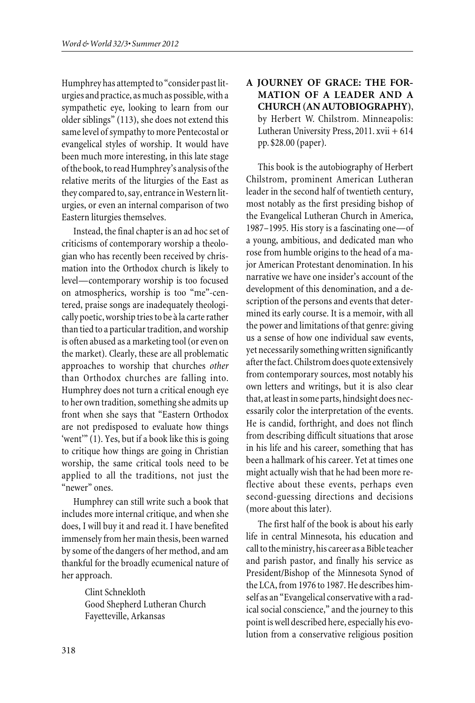Humphrey has attempted to "consider past liturgies and practice, as much as possible, with a sympathetic eye, looking to learn from our older siblings" (113), she does not extend this same level of sympathy to more Pentecostal or evangelical styles of worship. It would have been much more interesting, in this late stage of the book, to read Humphrey's analysis of the relative merits of the liturgies of the East as they compared to, say, entrance in Western liturgies, or even an internal comparison of two Eastern liturgies themselves.

Instead, the final chapter is an ad hoc set of criticisms of contemporary worship a theologian who has recently been received by chrismation into the Orthodox church is likely to level—contemporary worship is too focused on atmospherics, worship is too "me"-centered, praise songs are inadequately theologically poetic, worship tries to be à la carte rather than tied to a particular tradition, and worship is often abused as a marketing tool (or even on the market). Clearly, these are all problematic approaches to worship that churches *other* than Orthodox churches are falling into. Humphrey does not turn a critical enough eye to her own tradition, something she admits up front when she says that "Eastern Orthodox are not predisposed to evaluate how things 'went'" (1). Yes, but if a book like this is going to critique how things are going in Christian worship, the same critical tools need to be applied to all the traditions, not just the "newer" ones.

Humphrey can still write such a book that includes more internal critique, and when she does, I will buy it and read it. I have benefited immensely from her main thesis, been warned by some of the dangers of her method, and am thankful for the broadly ecumenical nature of her approach.

> Clint Schnekloth Good Shepherd Lutheran Church Fayetteville, Arkansas

# **A JOURNEY OF GRACE: THE FOR-MATION OF A LEADER AND A CHURCH (AN AUTOBIOGRAPHY)**, by Herbert W. Chilstrom. Minneapolis: Lutheran University Press, 2011. xvii + 614 pp. \$28.00 (paper).

This book is the autobiography of Herbert Chilstrom, prominent American Lutheran leader in the second half of twentieth century, most notably as the first presiding bishop of the Evangelical Lutheran Church in America, 1987–1995. His story is a fascinating one—of a young, ambitious, and dedicated man who rose from humble origins to the head of a major American Protestant denomination. In his narrative we have one insider's account of the development of this denomination, and a description of the persons and events that determined its early course. It is a memoir, with all the power and limitations of that genre: giving us a sense of how one individual saw events, yet necessarily something written significantly after the fact. Chilstrom does quote extensively from contemporary sources, most notably his own letters and writings, but it is also clear that, at least in some parts, hindsight does necessarily color the interpretation of the events. He is candid, forthright, and does not flinch from describing difficult situations that arose in his life and his career, something that has been a hallmark of his career. Yet at times one might actually wish that he had been more reflective about these events, perhaps even second-guessing directions and decisions (more about this later).

The first half of the book is about his early life in central Minnesota, his education and call to the ministry, his career as a Bible teacher and parish pastor, and finally his service as President/Bishop of the Minnesota Synod of the LCA, from 1976 to 1987. He describes himself as an "Evangelical conservative with a radical social conscience," and the journey to this point is well described here, especially his evolution from a conservative religious position